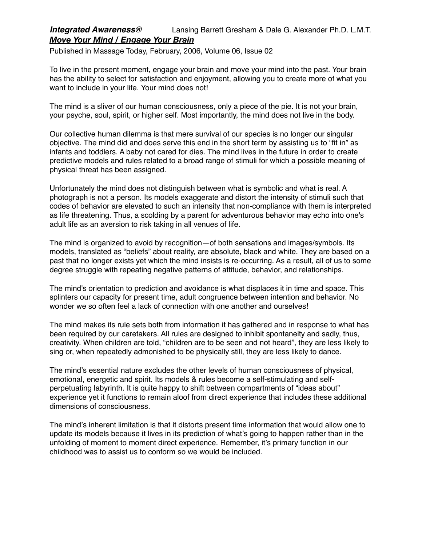## *Integrated Awareness®* Lansing Barrett Gresham & Dale G. Alexander Ph.D. L.M.T. *Move Your Mind / Engage Your Brain*

Published in Massage Today, February, 2006, Volume 06, Issue 02

To live in the present moment, engage your brain and move your mind into the past. Your brain has the ability to select for satisfaction and enjoyment, allowing you to create more of what you want to include in your life. Your mind does not!

The mind is a sliver of our human consciousness, only a piece of the pie. It is not your brain, your psyche, soul, spirit, or higher self. Most importantly, the mind does not live in the body.

Our collective human dilemma is that mere survival of our species is no longer our singular objective. The mind did and does serve this end in the short term by assisting us to "fit in" as infants and toddlers. A baby not cared for dies. The mind lives in the future in order to create predictive models and rules related to a broad range of stimuli for which a possible meaning of physical threat has been assigned.

Unfortunately the mind does not distinguish between what is symbolic and what is real. A photograph is not a person. Its models exaggerate and distort the intensity of stimuli such that codes of behavior are elevated to such an intensity that non-compliance with them is interpreted as life threatening. Thus, a scolding by a parent for adventurous behavior may echo into one's adult life as an aversion to risk taking in all venues of life.

The mind is organized to avoid by recognition—of both sensations and images/symbols. Its models, translated as "beliefs" about reality, are absolute, black and white. They are based on a past that no longer exists yet which the mind insists is re-occurring. As a result, all of us to some degree struggle with repeating negative patterns of attitude, behavior, and relationships.

The mind's orientation to prediction and avoidance is what displaces it in time and space. This splinters our capacity for present time, adult congruence between intention and behavior. No wonder we so often feel a lack of connection with one another and ourselves!

The mind makes its rule sets both from information it has gathered and in response to what has been required by our caretakers. All rules are designed to inhibit spontaneity and sadly, thus, creativity. When children are told, "children are to be seen and not heard", they are less likely to sing or, when repeatedly admonished to be physically still, they are less likely to dance.

The mind's essential nature excludes the other levels of human consciousness of physical, emotional, energetic and spirit. Its models & rules become a self-stimulating and selfperpetuating labyrinth. It is quite happy to shift between compartments of "ideas about" experience yet it functions to remain aloof from direct experience that includes these additional dimensions of consciousness.

The mind's inherent limitation is that it distorts present time information that would allow one to update its models because it lives in its prediction of what's going to happen rather than in the unfolding of moment to moment direct experience. Remember, it's primary function in our childhood was to assist us to conform so we would be included.